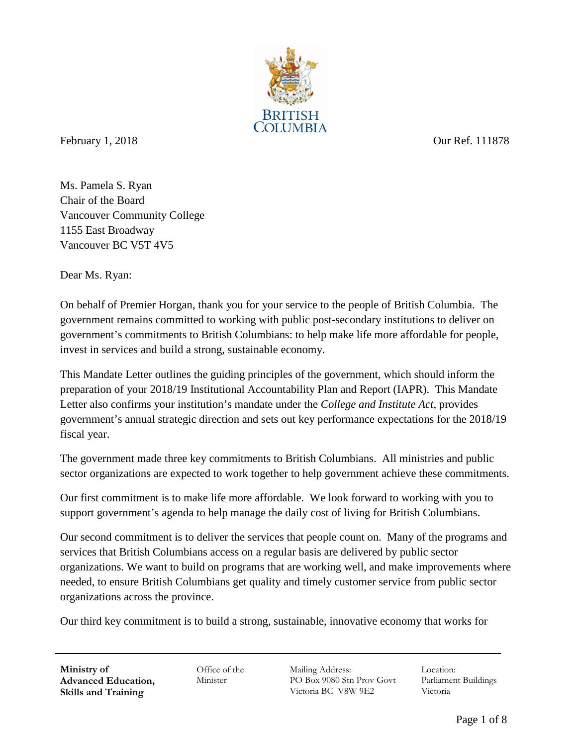

February 1, 2018 Our Ref. 111878

Ms. Pamela S. Ryan Chair of the Board Vancouver Community College 1155 East Broadway Vancouver BC V5T 4V5

Dear Ms. Ryan:

On behalf of Premier Horgan, thank you for your service to the people of British Columbia. The government remains committed to working with public post-secondary institutions to deliver on government's commitments to British Columbians: to help make life more affordable for people, invest in services and build a strong, sustainable economy.

This Mandate Letter outlines the guiding principles of the government, which should inform the preparation of your 2018/19 Institutional Accountability Plan and Report (IAPR). This Mandate Letter also confirms your institution's mandate under the *College and Institute Act*, provides government's annual strategic direction and sets out key performance expectations for the 2018/19 fiscal year.

The government made three key commitments to British Columbians. All ministries and public sector organizations are expected to work together to help government achieve these commitments.

Our first commitment is to make life more affordable. We look forward to working with you to support government's agenda to help manage the daily cost of living for British Columbians.

Our second commitment is to deliver the services that people count on. Many of the programs and services that British Columbians access on a regular basis are delivered by public sector organizations. We want to build on programs that are working well, and make improvements where needed, to ensure British Columbians get quality and timely customer service from public sector organizations across the province.

Our third key commitment is to build a strong, sustainable, innovative economy that works for

**Ministry of Advanced Education, Skills and Training**

Office of the Minister

Mailing Address: PO Box 9080 Stn Prov Govt Victoria BC V8W 9E2

Location: Parliament Buildings Victoria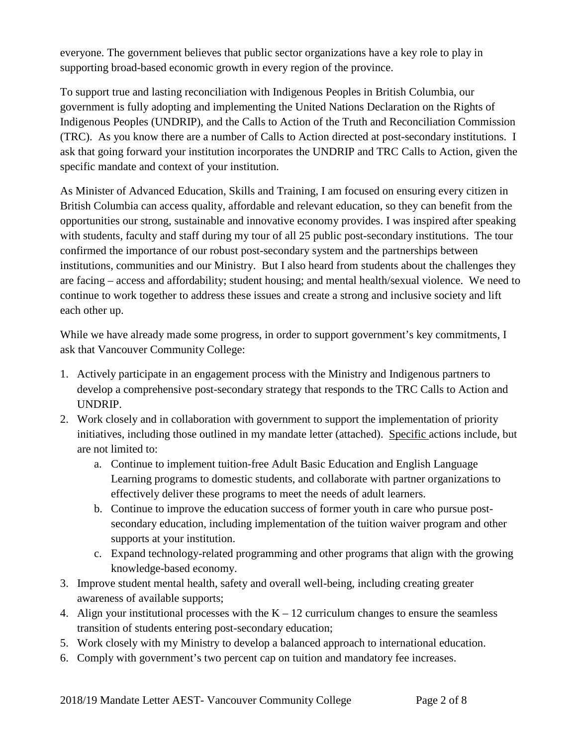everyone. The government believes that public sector organizations have a key role to play in supporting broad-based economic growth in every region of the province.

To support true and lasting reconciliation with Indigenous Peoples in British Columbia, our government is fully adopting and implementing the United Nations Declaration on the Rights of Indigenous Peoples (UNDRIP), and the Calls to Action of the Truth and Reconciliation Commission (TRC). As you know there are a number of Calls to Action directed at post-secondary institutions. I ask that going forward your institution incorporates the UNDRIP and TRC Calls to Action, given the specific mandate and context of your institution.

As Minister of Advanced Education, Skills and Training, I am focused on ensuring every citizen in British Columbia can access quality, affordable and relevant education, so they can benefit from the opportunities our strong, sustainable and innovative economy provides. I was inspired after speaking with students, faculty and staff during my tour of all 25 public post-secondary institutions. The tour confirmed the importance of our robust post-secondary system and the partnerships between institutions, communities and our Ministry. But I also heard from students about the challenges they are facing – access and affordability; student housing; and mental health/sexual violence. We need to continue to work together to address these issues and create a strong and inclusive society and lift each other up.

While we have already made some progress, in order to support government's key commitments, I ask that Vancouver Community College:

- 1. Actively participate in an engagement process with the Ministry and Indigenous partners to develop a comprehensive post-secondary strategy that responds to the TRC Calls to Action and UNDRIP.
- 2. Work closely and in collaboration with government to support the implementation of priority initiatives, including those outlined in my mandate letter (attached). Specific actions include, but are not limited to:
	- a. Continue to implement tuition-free Adult Basic Education and English Language Learning programs to domestic students, and collaborate with partner organizations to effectively deliver these programs to meet the needs of adult learners.
	- b. Continue to improve the education success of former youth in care who pursue postsecondary education, including implementation of the tuition waiver program and other supports at your institution.
	- c. Expand technology-related programming and other programs that align with the growing knowledge-based economy.
- 3. Improve student mental health, safety and overall well-being, including creating greater awareness of available supports;
- 4. Align your institutional processes with the  $K 12$  curriculum changes to ensure the seamless transition of students entering post-secondary education;
- 5. Work closely with my Ministry to develop a balanced approach to international education.
- 6. Comply with government's two percent cap on tuition and mandatory fee increases.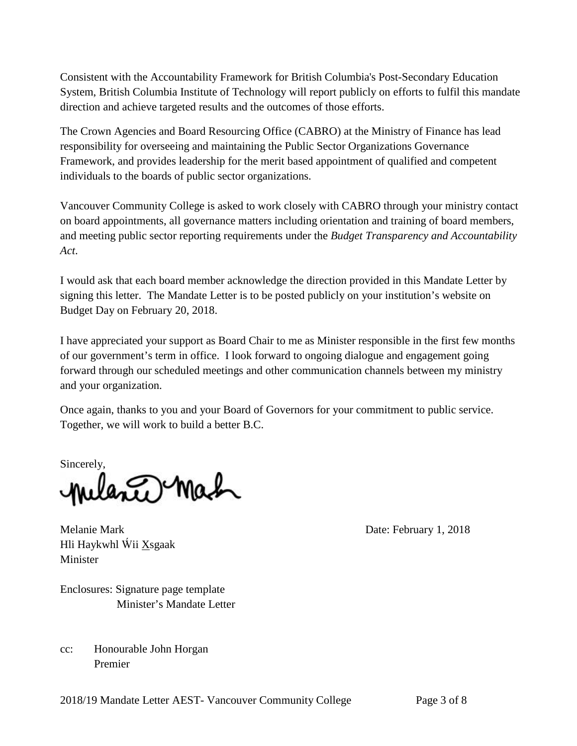Consistent with the Accountability Framework for British Columbia's Post-Secondary Education System, British Columbia Institute of Technology will report publicly on efforts to fulfil this mandate direction and achieve targeted results and the outcomes of those efforts.

The Crown Agencies and Board Resourcing Office (CABRO) at the Ministry of Finance has lead responsibility for overseeing and maintaining the Public Sector Organizations Governance Framework, and provides leadership for the merit based appointment of qualified and competent individuals to the boards of public sector organizations.

Vancouver Community College is asked to work closely with CABRO through your ministry contact on board appointments, all governance matters including orientation and training of board members, and meeting public sector reporting requirements under the *Budget Transparency and Accountability Act*.

I would ask that each board member acknowledge the direction provided in this Mandate Letter by signing this letter. The Mandate Letter is to be posted publicly on your institution's website on Budget Day on February 20, 2018.

I have appreciated your support as Board Chair to me as Minister responsible in the first few months of our government's term in office. I look forward to ongoing dialogue and engagement going forward through our scheduled meetings and other communication channels between my ministry and your organization.

Once again, thanks to you and your Board of Governors for your commitment to public service. Together, we will work to build a better B.C.

Sincerely, milante Mach

Melanie Mark Date: February 1, 2018 Hli Haykwhl Ẃii Xsgaak Minister

Enclosures: Signature page template Minister's Mandate Letter

cc: Honourable John Horgan Premier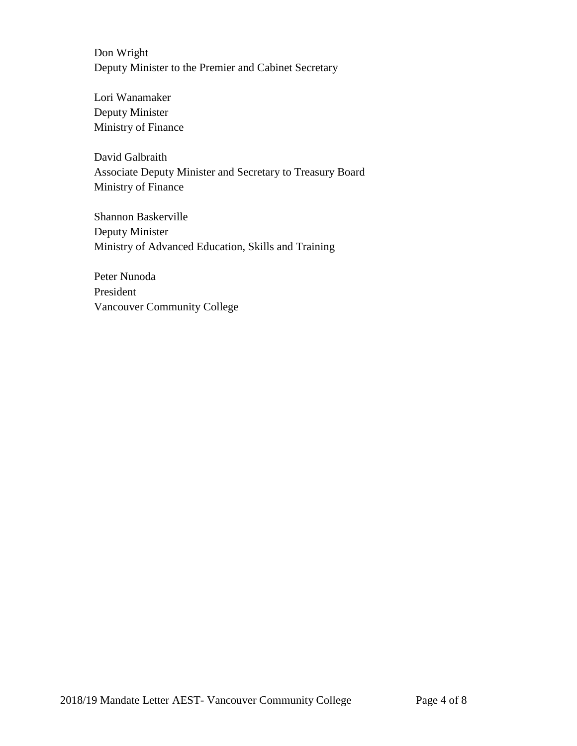Don Wright Deputy Minister to the Premier and Cabinet Secretary

Lori Wanamaker Deputy Minister Ministry of Finance

David Galbraith Associate Deputy Minister and Secretary to Treasury Board Ministry of Finance

Shannon Baskerville Deputy Minister Ministry of Advanced Education, Skills and Training

Peter Nunoda President Vancouver Community College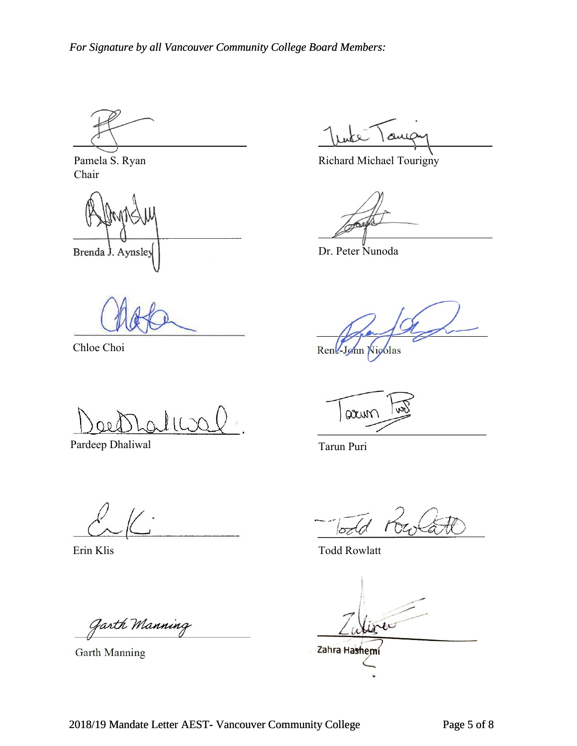Pamela S. Ryan Chair

Brenda J. Aynsley | Dr. Peter Nunoda

صىم

Richard Michael Tourigny

Chloe Choi Rene-John Nicolas

Pardeep Dhaliwal Tarun Puri

arin

Garth Manning

 $\sigma$ da

Erin Klis Todd Rowlatt

Garth Manning **Zahra Hashemi**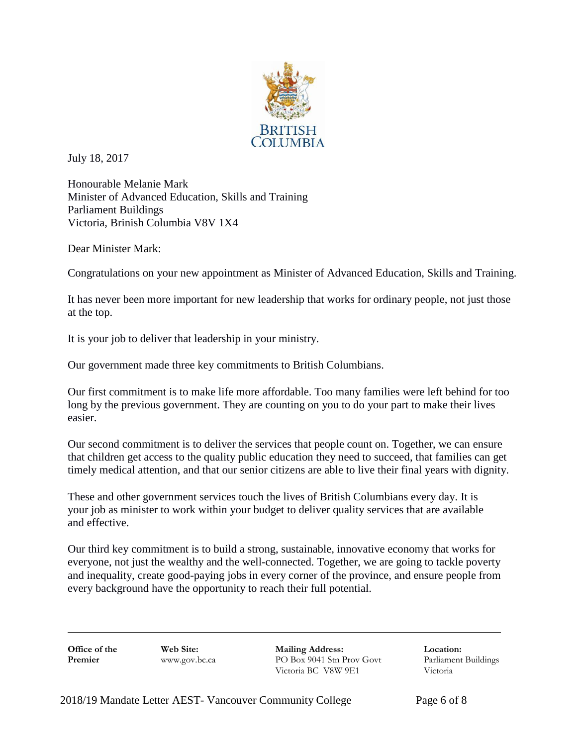

July 18, 2017

Honourable Melanie Mark Minister of Advanced Education, Skills and Training Parliament Buildings Victoria, Brinish Columbia V8V 1X4

Dear Minister Mark:

Congratulations on your new appointment as Minister of Advanced Education, Skills and Training.

It has never been more important for new leadership that works for ordinary people, not just those at the top.

It is your job to deliver that leadership in your ministry.

Our government made three key commitments to British Columbians.

Our first commitment is to make life more affordable. Too many families were left behind for too long by the previous government. They are counting on you to do your part to make their lives easier.

Our second commitment is to deliver the services that people count on. Together, we can ensure that children get access to the quality public education they need to succeed, that families can get timely medical attention, and that our senior citizens are able to live their final years with dignity.

These and other government services touch the lives of British Columbians every day. It is your job as minister to work within your budget to deliver quality services that are available and effective.

Our third key commitment is to build a strong, sustainable, innovative economy that works for everyone, not just the wealthy and the well-connected. Together, we are going to tackle poverty and inequality, create good-paying jobs in every corner of the province, and ensure people from every background have the opportunity to reach their full potential.

**Office of the Web Site: Mailing Address: Location: Location: Premier Web Site: Mailing Address: Location: Premier Premier Premier Premier Premier Premier Premier Premier Premier Premier PO Box 9041 Stn Prov Govt** Victoria BC V8W 9E1 Victoria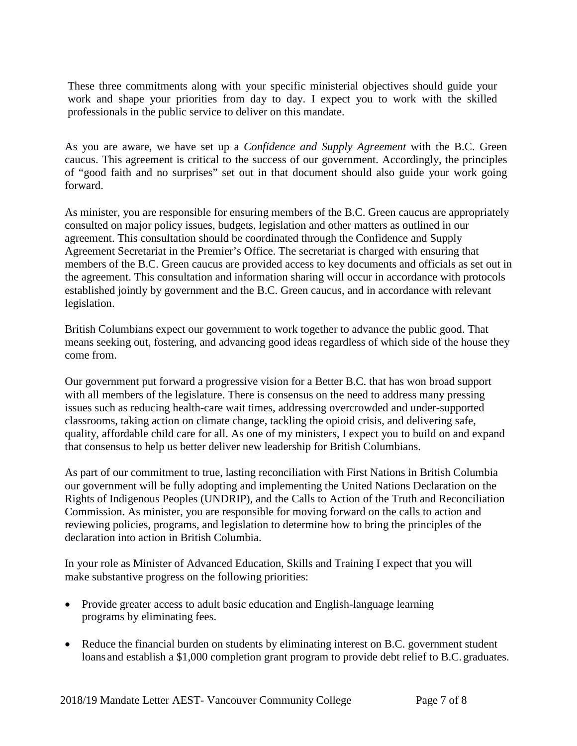These three commitments along with your specific ministerial objectives should guide your work and shape your priorities from day to day. I expect you to work with the skilled professionals in the public service to deliver on this mandate.

As you are aware, we have set up a *Confidence and Supply Agreement* with the B.C. Green caucus. This agreement is critical to the success of our government. Accordingly, the principles of "good faith and no surprises" set out in that document should also guide your work going forward.

As minister, you are responsible for ensuring members of the B.C. Green caucus are appropriately consulted on major policy issues, budgets, legislation and other matters as outlined in our agreement. This consultation should be coordinated through the Confidence and Supply Agreement Secretariat in the Premier's Office. The secretariat is charged with ensuring that members of the B.C. Green caucus are provided access to key documents and officials as set out in the agreement. This consultation and information sharing will occur in accordance with protocols established jointly by government and the B.C. Green caucus, and in accordance with relevant legislation.

British Columbians expect our government to work together to advance the public good. That means seeking out, fostering, and advancing good ideas regardless of which side of the house they come from.

Our government put forward a progressive vision for a Better B.C. that has won broad support with all members of the legislature. There is consensus on the need to address many pressing issues such as reducing health-care wait times, addressing overcrowded and under-supported classrooms, taking action on climate change, tackling the opioid crisis, and delivering safe, quality, affordable child care for all. As one of my ministers, I expect you to build on and expand that consensus to help us better deliver new leadership for British Columbians.

As part of our commitment to true, lasting reconciliation with First Nations in British Columbia our government will be fully adopting and implementing the United Nations Declaration on the Rights of Indigenous Peoples (UNDRIP), and the Calls to Action of the Truth and Reconciliation Commission. As minister, you are responsible for moving forward on the calls to action and reviewing policies, programs, and legislation to determine how to bring the principles of the declaration into action in British Columbia.

In your role as Minister of Advanced Education, Skills and Training I expect that you will make substantive progress on the following priorities:

- Provide greater access to adult basic education and English-language learning programs by eliminating fees.
- Reduce the financial burden on students by eliminating interest on B.C. government student loans and establish a \$1,000 completion grant program to provide debt relief to B.C. graduates.